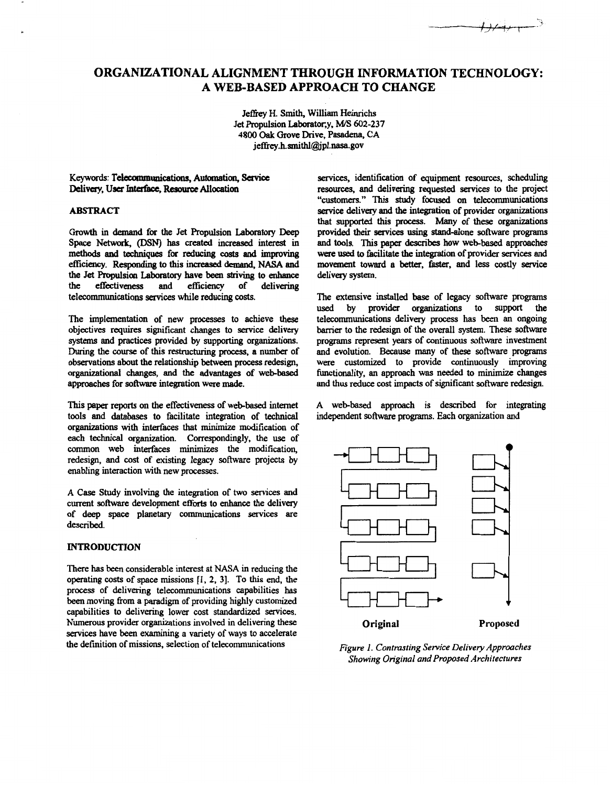# **ORGANIZATIONAL ALIGNMENT THROUGH INFORMATION TECHNOLOGY: A WEB-BASED APPROACH TO CHANGE**

**Jeffrey H. Smith, William Heinrichs Jet propulsion Laboratoqy.** *WS* **602-237 4800** *Oak* **Grove Drive, Pasadena, CA [jefiey.h.smithl@ipl.nasa.gov](mailto:jefiey.h.smithl@ipl.nasa.gov)** 

### Keywords: Telecommunications, Automation, Service **Delivery, User Interface, Resource Allocation**

#### **ABSTRACT**

Growth **in demand for the Jet propulsion** Laboratory *Deep*  **Space Network,** *0* **has created increased interest** in **methods** and techniques **for reducing** *costs* **and** improving **efficiency. Reqmndmg** to **this** increased **demand, NASA and**  the **Jet** Propulsion **Laboratory have** been striving **to** *enhaace*  **effectiveness telecommunications services while reducing** *costs.* 

The implementation of new processes to achieve these **objectives requires significant changes to service delivery**  *systems* **and practices provided by supporting organizations.**  Dunng **the** course **of** this **restructuring** process, **a numbex of observations about the relationship** between process **redesign,**  organizational changes, and the advantages of web-based **approaches for software integration were made.** 

This paper reports on the effectiveness of web-based internet **tools and databases to facilitate integration of** technical organizations with interfaces that minimize modification of **each** technical **organization. Correspondingly, the** use **of common web interfaces** minimizes **the modification, redesign, and cost of existing legacy software projects by enabling interaction with new processes.** 

**A Case Study involving the integration of** two **services and**  current software development efforts to enhance the delivery **of deep** *space* **planetary communications services are described.** 

### **INTRODUCTION**

**There** has been **considerable interest at NASA in reducing the operating** costs **of space missions [l. 2, 31.** To **this end, the process of delivering telecommunications capabilities** has been **moving from a paradigm of providing highly customized capabilities to delivering lower cost standardized services.**  Numerous provider organizations involved in delivering these **Original services have** been **examining a variety of ways to accelerate the definition of missions, selection of telecommunications** 

**services, identification of equipment resources, scheduling resources, and delivering requested services to the project "customers." This study focused** *on* **telecommunications service delivery and** the **integration of provider organizations that supported this process. Many of these organizations provided their** *services* **using stand-alone software programs**  and tools. This paper describes how web-based approaches **were** used to **facilitate** the **integration of provider** *services* **and movement toward a** better, Easter, **and less costly** *service*  **delivery** *system.* 

**The extensive installed base of legacy software programs**  used by **provider telecommunications delivery process** has **been an ongoing barrier to the redesign of the overall system. These software programs represent years of continuous software investment and evolution.** Because **many of these software programs were customized to provide continuously improving functionality,** an **approach was needed** to **minimize changes and thus reduce** *cost* **impacts of significant software redesign.** 

A web-based approach is described for integrating **independent software programs. Each organization and** 



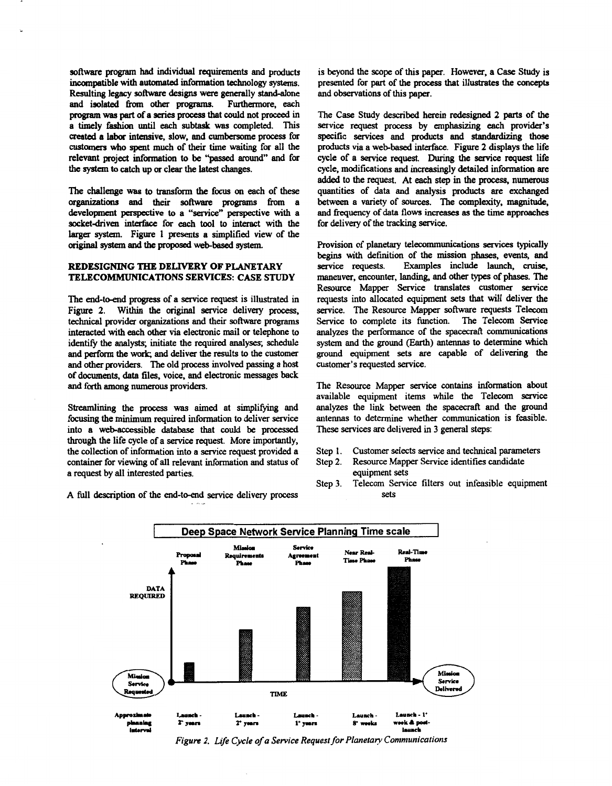**soRware** program had **individual** requirements **and products incompatible with automated information technology** *systems.*  Resulting legacy software designs were generally stand-alone **and isolated** fiom other programs. **Furthermore, each**  program was part of a series process that could not proceed in **a timely Won until each subtask** was **completed. This**  created a labor intensive, slow, and cumbersome process for *customas* who **spent much** of their **time waiting for all the relevant project information to** be ''passed **around" and for**  the *system* **to catch up** *or* **clear the** latest **changes.** 

The challenge was to transform the focus on each of these **organizations** and **their software** programs **from a development perspective** to **a "service" perspective with a socketdriven** interface **for** *each* **tool** to **interact with the**  larger *system.* **Figure 1 presents a simplified view of** the original system and the proposed web-based system.

#### **REDESIGNING** THE **DELIVERY OF PLANETARY TELECOMMUNICATIONS SERVICES: CASE STUDY**

**The end-bend** progress **of a service request is illustrated in Figure 2. Within** the **original service delivery** process, technical provider organizations and their software programs **interacted with each other via electronic mail or telephone** to **identify the analysts;** initiate **the required analyses; schedule**  and perform the work; and deliver the results to the customer **and other providers. The old process involved** *passing* **a host of documents, data files, voice. and electronic messages back**  and **forth among numerous providers.** 

**Streamlining the process** was **aimed at simplifymg and focusing the minimum required information to deliver service**  into a web-accessible database that could be processed **through the life cycle of a service request. More importantly, the collection of information into a service request provided a container for viewing of all relevant information and** status **of a request by all interested parties.** 

**is beyond the scope of this paper. However, a Case Study is presented for part of the process that illustrates the** concepts **and observations of this paper.** 

**The Case Study described herein redesigned 2 parts of the service request process by emphasizing each provider's specific services and** products **and standardizing those**  products via a web-based interface. Figure 2 displays the life **cycle of a service request. During the service** request **life cycle, modifications and increasingly detailed information are**  added **to the request. At each step in the** process, **numerous quantities of data and analysis** produds **are xchanged**  between **a variety of** sources. **The complexity,** magnitude, **and frequency of** data **flows increases as the time approaches for delivery of the tracking** *service.* 

**Provision of planetary telecomunications** *services* **typically**  begins with definition of the mission phases, events, and service requests. Examples include launch, cruise, Examples include launch, cruise, **maneuver, encounter, landing, and other** types **of phases. The Resource** Mapper **Service translates customer service requests into allocated equipment sets that will deliver the service. The Resource** Mapper **sofhvare requests Telecom Service to complete its function. The Telecom Service analyzes the performance of the** *spacecraft* communications **system and the ground** (Earth) **antennas** to **determine which ground equipment sets are capable of delivering the customer's requested service.** 

**The Resource Mapper service contains information about available equipment items while the Telecom service analyzes the link** between **the** spacecraft **and the ground antennas to determine whether communication is feasible. These services are delivered in 3** general **steps:** 

- **Step 1. Customer selects** *service* and **technical parameters**
- **Step 2. Resource Mapper Service identifies candidate equipment sets**
- **Step 3. Telecom Service filters out infeasible equipment**  sets



A full description of the end-to-end service delivery process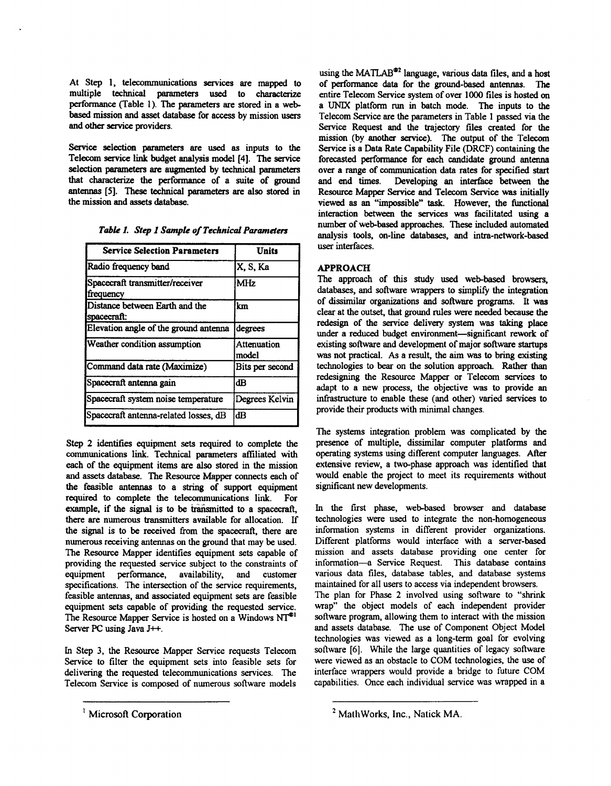At Step 1, telecommunications services are mapped to multiple technical parameters used to characterize performance (Table 1). The parameters are stored in a webbased mission and asset database for access by mission users and other service providers.

*Service* selection parameters are used **as** inputs to the Telecom *service* link budget analysis model **[4].** The *service*  selection parameters **are** augmented by technical parameters that characterize the performance of a suite of ground antennas **[SI. These** technical parameters are also **stored** in the mission and assets database.

| <b>Service Selection Parameters</b>           | Units                |
|-----------------------------------------------|----------------------|
| Radio frequency band                          | X, S, Ka             |
| Spacecraft transmitter/receiver<br>frequency  | MHz                  |
| Distance between Earth and the<br>spacecraft: | km                   |
| Elevation angle of the ground antenna         | degrees              |
| Weather condition assumption                  | Attenuation<br>model |
| Command data rate (Maximize)                  | Bits per second      |
| Spacecraft antenna gain                       | dB                   |
| Spacecraft system noise temperature           | Degrees Kelvin       |
| Spacecraft antenna-related losses, dB         | ldВ                  |

**Step 2** identifies equipment *sets* required to complete the communications link. Technical parameters affiliated with each of the equipment items are **also** stored in the mission and assets database. The Resource Mapper connects each of the feasible antennas to a string **of** support equipment required to complete the telecommunications link. For example, if the signal is to be transmitted to a spacecraft, there are numerous transmitters available for allocation. If the signal is to be received from the spacecraft, there are numerous receiving antennas on the ground that may be used. The Resource Mapper identifies equipment sets capable **of**  providing the requested service subject to the constraints of equipment performance, availability, and customer specifications. The intersection of the service requirements, feasible antennas, and associated equipment *sets* are feasible equipment *sets* capable of providing the requested service. The Resource Mapper Service is hosted on a Windows NT<sup>®1</sup> Server PC using Java J++.

In Step **3.** the Resource Mapper Service requests Telecom Service to filter the equipment sets into feasible sets for delivering the requested telecommunications services. The Telecom Service is composed of numerous software models

using the MATLAB $^{\Phi2}$  language, various data files, and a host of performance data for the ground-based antennas. The entire Telecom *Service* system of over loo0 files is hosted *on*  a UNIX platform run in batch **mode.** The inputs to the Telecom Service are the parameters in Table 1 **passed** via the Service Request and the trajectory files created for the mission (by another *service).* The output of the Telecom Service is a Data Rate Capability File (DRCF) containing the forecasted performance **for** each candidate ground antenna over a range of communication data rates for specified *start*  Developing an interface between the Resource Mapper Service and Telecom *Service* was initially viewed **as** an "impossible" task. However, the functional interaction between the services was facilitated using a number of web-based approaches. These included automated analysis tools, on-line databases, and intra-network-based user interfaces.

## **APPROACH**

The approach **of this** study used web-based browsers, databases, and software wrappers to simplify the integration of dissimilar organizations and software programs. It was clear at the outset, that ground **rules were** needed because the redesign of the sexvice delivery *system* was taking place under a reduced budget environment-significant rework of existing software and development of major software *startups*  was not practical. *As* a result, the aim was to bring existing technologies to bear on the solution approach. Rather than redesigning the Resource Mapper or Telecom *services* to adapt to a new process, the objective was to provide an infrastructure to enable these (and other) varied services to provide their products with minimal changes.

The systems integration problem was complicated by the presence of multiple, dissimilar computer platforms and operating **systems** using different computer languages. After extensive review, a two-phase approach was identified that would enable the project to meet its requirements without significant new developments.

In the first phase, web-based browser and database technologies were used to integrate the non-homogeneous information systems in different provider organizations. Different platforms would interface with **a** server-based mission and assets database providing one center for information-a Service Request. This database contains various data files, database tables, and database systems maintained for all users to access via independent browsers. The plan for Phase **2** involved using software to "shrink wrap" the object models of each independent provider software program, allowing them to interact with the mission and assets database. The use of Component Object Model technologies was viewed **as** a long-term goal for evolving software [6]. While the large quantities of legacy software were viewed as an obstacle to COM technologies, the *use* of interface wrappers would provide a bridge to future COM capabilities. Once each individual service was wrapped in a

<sup>&</sup>lt;sup>1</sup> Microsoft Corporation

<sup>&</sup>lt;sup>2</sup> MathWorks, Inc., Natick MA.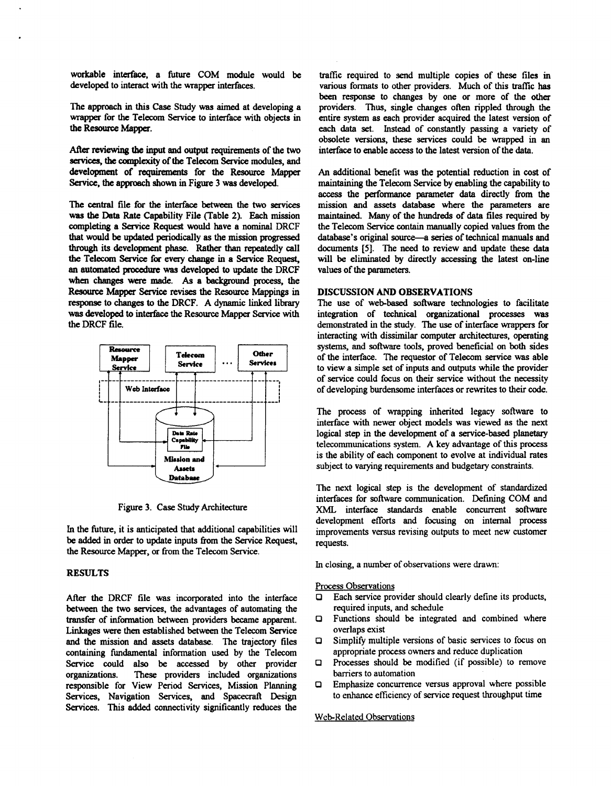workable interface, a future COM module would **be**  developed to interact with the wrapper interfaces.

The approach in **this** Case Study was aimed at developing a wrapper for the Telecom Service to interface with objects in the Resource **Mapper.** 

After reviewing the input and output requirements **of** the two *services,* the **complexity of** the Telecom Service modules, and development **of** requirements **for** the Resource Mapper Service, the approach shown in Figure 3 was developed.

The central file **for** the interface between the two *services*  was *the* Data Rate Capability File (Table **2).** Each mission completing a Service Request would have a nominal DRCF that would **be** updated periodically **as** the mission progressed through its development phase. Rather than repeatedly call *the* Telecom Senrice **for** every change in a Service Request, an automated **procedure** was developed to update the DRCF when changes were **made. As** a background process, the Resource Mapper Service revises the Resource Mappings in *response* to *changes* to the DRCF. **A** dynamic linked library was developed to interface the Resource Mapper Service with the DRCF file.



Figure 3. Case Study Architecture

In the future, it is anticipated that additional capabilities will be added in **order** to update inputs from the Service Request, the Resource Mapper, **or** from the Telecom Service.

### **RESULTS**

*After* the DRCF file was incorporated into the interface between the two *services,* the advantages of automating the transfer of infonnation between providers became apparent. Linkages were then established between the Telecom Service and the mission and **assets** database. The trajectory files containing fundamental infonnation used by the Telecom Service could also **be** accessed by other provider organizations. These providers included organizations responsible for View Period Services, Mission Planning *Services,* Navigation Services, and Spacecraft Design *Services.* This added connectivity significantly reduces the

traflic required to send multiple copies of these files in various formats to other providers. Much of this traflic **hag**  been **response** to changes by one **or** more of the other providers. Thus, single changes often rippled through the entire system **as** each provider acquired the latest version **of**  each data set. **Instead** of constantly passing a variety of obsolete versions, **these** services could be wrapped in an interface to enable **access** to the latest version of the data.

**An** additional benefit was the potential reduction in *cost* of maintaining the Telecom Service by enabling the capability to *8ccess* the performance parameter data directly from the mission and **assets** database where the parameters are **maintained.** Many **of** the hundreds of data files required by the Telecom *Service* contain manually copied values from the database's original source-a series of technical manuals and documents **[SI.** The need to review and update these data will be eliminated by directly *accessing* the latest on-line values of the parameters.

### **DISCUSSION** AND **OBSERVATIONS**

The use of web-based software technologies to facilitate integration of technical organizational processes was demonstrated in the study. The use of interface wrappers for interacting with dissimilar computer architectures, operating systems, and software tools, proved beneficial on both sides of the interface. The requestor of Telecom service was able to view a simple set of inputs and outputs while the provider of service could focus on their service without the necessity of developing burdensome interfaces or rewrites to their code.

The process of wrapping inherited legacy software to interface with newer object models was viewed **as** the next logical step in the development of a service-based planetary telecommunications system. **A** key advantage of **this** process is the ability of each component to evolve at individual rates subject to varying requirements and budgetary constraints.

The next logical *step* is the development of standardized interfaces for software communication. Defining COM and XML. interface **standards** enable concurrent software development efforts and focusing on internal process improvements versus revising outputs to meet new customer requests.

In closing, a number **of** observations were drawn:

#### Process Observations

- *0* Each service provider should clearly define its products, required inputs, and schedule
- *0* Functions hould be integrated and combined where overlaps exist
- *0* Simplify multiple versions of basic services to focus on appropriate process owners and reduce duplication
- *0* Processes should be modified (if possible) to remove barriers to automation
- 0 Emphasize concurrence versus approval where possible to enhance efficiency of service request throughput time

# Web-Related Observations